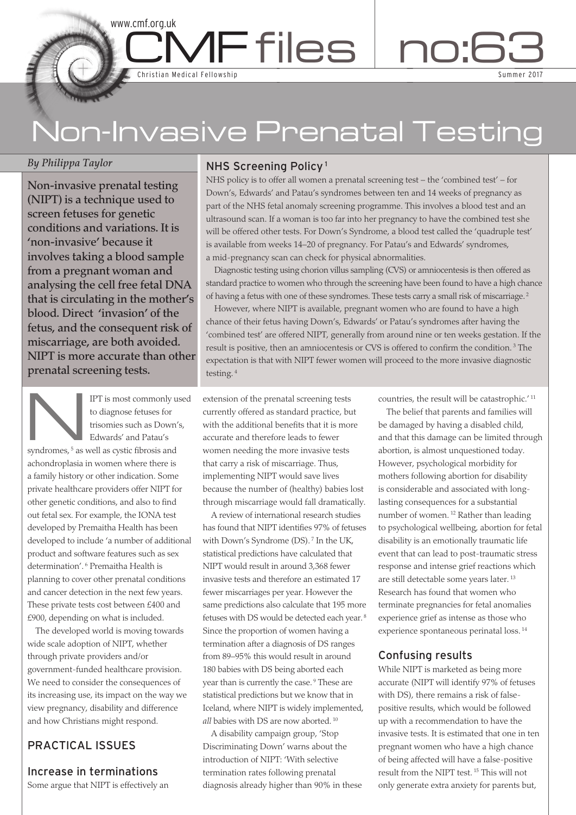# Non-Invasive Prenatal Testing

MFfiles no:6

# *By Philippa Taylor*

**Non-invasive prenatal testing (NIPT) is a technique used to screen fetuses for genetic conditions and variations. It is 'non-invasive' because it involves taking a blood sample from a pregnant woman and analysing the cell free fetal DNA that is circulating in the mother's blood. Direct 'invasion' of the fetus, and the consequent risk of miscarriage, are both avoided. NIPT is more accurate than other prenatal screening tests.**

www.cmf.org.uk

Christian Medical Fellowship

IPT is most commonly used<br>to diagnose fetuses for<br>trisomies such as Down's,<br>Edwards' and Patau's to diagnose fetuses for trisomies such as Down's, Edwards' and Patau's

syndromes,<sup>5</sup> as well as cystic fibrosis and achondroplasia in women where there is a family history or other indication. Some private healthcare providers offer NIPT for other genetic conditions, and also to find out fetal sex. For example, the IONA test developed by Premaitha Health has been developed to include 'a number of additional product and software features such as sex determination'. <sup>6</sup> Premaitha Health is planning to cover other prenatal conditions and cancer detection in the next few years. These private tests cost between £400 and £900, depending on what is included.

The developed world is moving towards wide scale adoption of NIPT, whether through private providers and/or government-funded healthcare provision. We need to consider the consequences of its increasing use, its impact on the way we view pregnancy, disability and difference and how Christians might respond.

# PRACTICAL ISSUES

# Increase in terminations

Some argue that NIPT is effectively an

# NHS Screening Policy <sup>1</sup>

NHS policy is to offer all women a prenatal screening test – the 'combined test' – for Down's, Edwards' and Patau's syndromes between ten and 14 weeks of pregnancy as part of the NHS fetal anomaly screening programme. This involves a blood test and an ultrasound scan. If a woman is too far into her pregnancy to have the combined test she will be offered other tests. For Down's Syndrome, a blood test called the 'quadruple test' is available from weeks 14–20 of pregnancy. For Patau's and Edwards' syndromes, a mid-pregnancy scan can check for physical abnormalities.

Diagnostic testing using chorion villus sampling (CVS) or amniocentesis is then offered as standard practice to women who through the screening have been found to have a high chance of having a fetus with one of these syndromes. These tests carry a small risk of miscarriage. <sup>2</sup>

However, where NIPT is available, pregnant women who are found to have a high chance of their fetus having Down's, Edwards' or Patau's syndromes after having the 'combined test' are offered NIPT, generally from around nine or ten weeks gestation. If the result is positive, then an amniocentesis or CVS is offered to confirm the condition. <sup>3</sup> The expectation is that with NIPT fewer women will proceed to the more invasive diagnostic testing. <sup>4</sup>

extension of the prenatal screening tests currently offered as standard practice, but with the additional benefits that it is more accurate and therefore leads to fewer women needing the more invasive tests that carry a risk of miscarriage. Thus, implementing NIPT would save lives because the number of (healthy) babies lost through miscarriage would fall dramatically.

A review of international research studies has found that NIPT identifies 97% of fetuses with Down's Syndrome (DS).<sup>7</sup> In the UK, statistical predictions have calculated that NIPT would result in around 3,368 fewer invasive tests and therefore an estimated 17 fewer miscarriages per year. However the same predictions also calculate that 195 more fetuses with DS would be detected each year. <sup>8</sup> Since the proportion of women having a termination after a diagnosis of DS ranges from 89–95% this would result in around 180 babies with DS being aborted each year than is currently the case. <sup>9</sup> These are statistical predictions but we know that in Iceland, where NIPT is widely implemented, *all* babies with DS are now aborted. <sup>10</sup>

A disability campaign group, 'Stop Discriminating Down' warns about the introduction of NIPT: 'With selective termination rates following prenatal diagnosis already higher than 90% in these countries, the result will be catastrophic.' <sup>11</sup>

Sum

3

mer 2017

The belief that parents and families will be damaged by having a disabled child, and that this damage can be limited through abortion, is almost unquestioned today. However, psychological morbidity for mothers following abortion for disability is considerable and associated with longlasting consequences for a substantial number of women. <sup>12</sup> Rather than leading to psychological wellbeing, abortion for fetal disability is an emotionally traumatic life event that can lead to post-traumatic stress response and intense grief reactions which are still detectable some years later. <sup>13</sup> Research has found that women who terminate pregnancies for fetal anomalies experience grief as intense as those who experience spontaneous perinatal loss. <sup>14</sup>

# Confusing results

While NIPT is marketed as being more accurate (NIPT will identify 97% of fetuses with DS), there remains a risk of falsepositive results, which would be followed up with a recommendation to have the invasive tests. It is estimated that one in ten pregnant women who have a high chance of being affected will have a false-positive result from the NIPT test. <sup>15</sup> This will not only generate extra anxiety for parents but,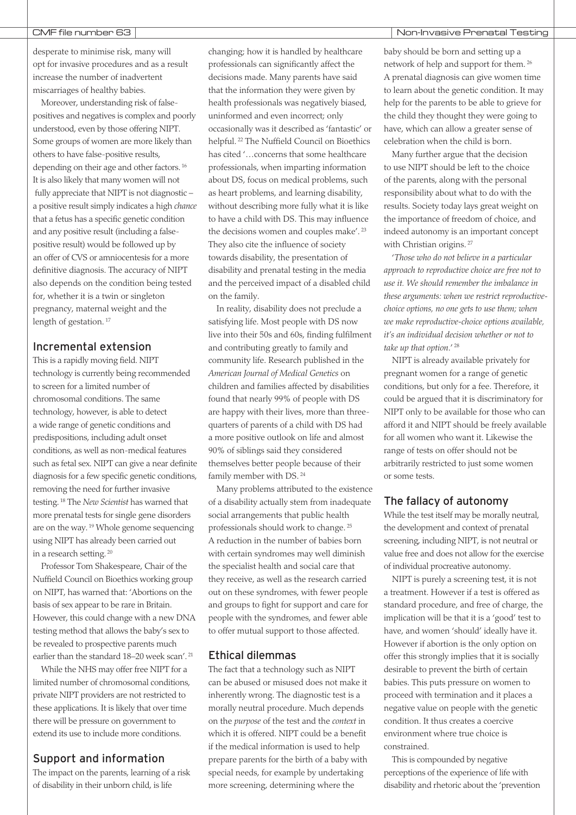desperate to minimise risk, many will opt for invasive procedures and as a result increase the number of inadvertent miscarriages of healthy babies.

Moreover, understanding risk of falsepositives and negatives is complex and poorly understood, even by those offering NIPT. Some groups of women are more likely than others to have false-positive results, depending on their age and other factors. <sup>16</sup> It is also likely that many women will not fully appreciate that NIPT is not diagnostic – a positive result simply indicates a high *chance* that a fetus has a specific genetic condition and any positive result (including a falsepositive result) would be followed up by an offer of CVS or amniocentesis for a more definitive diagnosis. The accuracy of NIPT also depends on the condition being tested for, whether it is a twin or singleton pregnancy, maternal weight and the length of gestation.<sup>17</sup>

## Incremental extension

This is a rapidly moving field. NIPT technology is currently being recommended to screen for a limited number of chromosomal conditions. The same technology, however, is able to detect a wide range of genetic conditions and predispositions, including adult onset conditions, as well as non-medical features such as fetal sex. NIPT can give a near definite diagnosis for a few specific genetic conditions, removing the need for further invasive testing. <sup>18</sup> The *New Scientist* has warned that more prenatal tests for single gene disorders are on the way. <sup>19</sup> Whole genome sequencing using NIPT has already been carried out in a research setting. <sup>20</sup>

Professor Tom Shakespeare, Chair of the Nuffield Council on Bioethics working group on NIPT, has warned that: 'Abortions on the basis of sex appear to be rare in Britain. However, this could change with a new DNA testing method that allows the baby's sex to be revealed to prospective parents much earlier than the standard 18–20 week scan'. <sup>21</sup>

While the NHS may offer free NIPT for a limited number of chromosomal conditions, private NIPT providers are not restricted to these applications. It is likely that over time there will be pressure on government to extend its use to include more conditions.

# Support and information

The impact on the parents, learning of a risk of disability in their unborn child, is life

changing; how it is handled by healthcare professionals can significantly affect the decisions made. Many parents have said that the information they were given by health professionals was negatively biased, uninformed and even incorrect; only occasionally was it described as 'fantastic' or helpful. <sup>22</sup> The Nuffield Council on Bioethics has cited '…concerns that some healthcare professionals, when imparting information about DS, focus on medical problems, such as heart problems, and learning disability, without describing more fully what it is like to have a child with DS. This may influence the decisions women and couples make'. <sup>23</sup> They also cite the influence of society towards disability, the presentation of disability and prenatal testing in the media and the perceived impact of a disabled child on the family.

In reality, disability does not preclude a satisfying life. Most people with DS now live into their 50s and 60s, finding fulfilment and contributing greatly to family and community life. Research published in the *American Journal of Medical Genetics* on children and families affected by disabilities found that nearly 99% of people with DS are happy with their lives, more than threequarters of parents of a child with DS had a more positive outlook on life and almost 90% of siblings said they considered themselves better people because of their family member with DS. <sup>24</sup>

Many problems attributed to the existence of a disability actually stem from inadequate social arrangements that public health professionals should work to change. <sup>25</sup> A reduction in the number of babies born with certain syndromes may well diminish the specialist health and social care that they receive, as well as the research carried out on these syndromes, with fewer people and groups to fight for support and care for people with the syndromes, and fewer able to offer mutual support to those affected.

## Ethical dilemmas

The fact that a technology such as NIPT can be abused or misused does not make it inherently wrong. The diagnostic test is a morally neutral procedure. Much depends on the *purpose* of the test and the *context* in which it is offered. NIPT could be a benefit if the medical information is used to help prepare parents for the birth of a baby with special needs, for example by undertaking more screening, determining where the

#### CMF file number 63 Non-Invasive Prenatal Testing

baby should be born and setting up a network of help and support for them. <sup>26</sup> A prenatal diagnosis can give women time to learn about the genetic condition. It may help for the parents to be able to grieve for the child they thought they were going to have, which can allow a greater sense of celebration when the child is born.

Many further argue that the decision to use NIPT should be left to the choice of the parents, along with the personal responsibility about what to do with the results. Society today lays great weight on the importance of freedom of choice, and indeed autonomy is an important concept with Christian origins.<sup>27</sup>

'*Those who do not believe in a particular approach to reproductive choice are free not to use it. We should remember the imbalance in these arguments: when we restrict reproductivechoice options, no one gets to use them; when we make reproductive-choice options available, it's an individual decision whether or not to take up that option*.' <sup>28</sup>

NIPT is already available privately for pregnant women for a range of genetic conditions, but only for a fee. Therefore, it could be argued that it is discriminatory for NIPT only to be available for those who can afford it and NIPT should be freely available for all women who want it. Likewise the range of tests on offer should not be arbitrarily restricted to just some women or some tests.

# The fallacy of autonomy

While the test itself may be morally neutral, the development and context of prenatal screening, including NIPT, is not neutral or value free and does not allow for the exercise of individual procreative autonomy.

NIPT is purely a screening test, it is not a treatment. However if a test is offered as standard procedure, and free of charge, the implication will be that it is a 'good' test to have, and women 'should' ideally have it. However if abortion is the only option on offer this strongly implies that it is socially desirable to prevent the birth of certain babies. This puts pressure on women to proceed with termination and it places a negative value on people with the genetic condition. It thus creates a coercive environment where true choice is constrained.

This is compounded by negative perceptions of the experience of life with disability and rhetoric about the 'prevention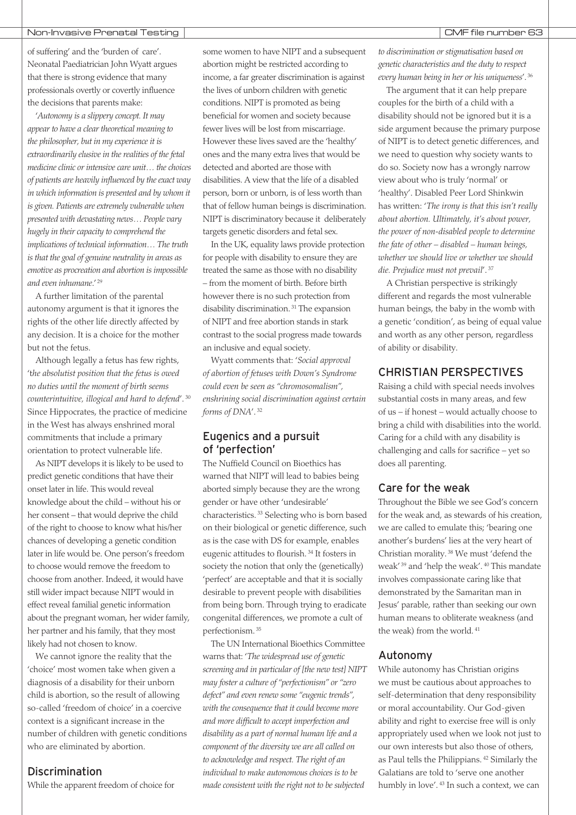#### Non-Invasive Prenatal Testing Non-Invasive Prenatal Testing Non-Invasive Research CMF file number 63

of suffering' and the 'burden of care'. Neonatal Paediatrician John Wyatt argues that there is strong evidence that many professionals overtly or covertly influence the decisions that parents make:

'*Autonomy is a slippery concept. It may appear to have a clear theoretical meaning to the philosopher, but in my experience it is extraordinarily elusive in the realities of the fetal medicine clinic or intensive care unit… the choices of patients are heavily influenced by the exact way in which information is presented and by whom it is given. Patients are extremely vulnerable when presented with devastating news… People vary hugely in their capacity to comprehend the implications of technical information… The truth is that the goal of genuine neutrality in areas as emotive as procreation and abortion is impossible and even inhumane*.' <sup>29</sup>

A further limitation of the parental autonomy argument is that it ignores the rights of the other life directly affected by any decision. It is a choice for the mother but not the fetus.

Although legally a fetus has few rights, 't*he absolutist position that the fetus is owed no duties until the moment of birth seems counterintuitive, illogical and hard to defend*'. <sup>30</sup> Since Hippocrates, the practice of medicine in the West has always enshrined moral commitments that include a primary orientation to protect vulnerable life.

As NIPT develops it is likely to be used to predict genetic conditions that have their onset later in life. This would reveal knowledge about the child – without his or her consent – that would deprive the child of the right to choose to know what his/her chances of developing a genetic condition later in life would be. One person's freedom to choose would remove the freedom to choose from another. Indeed, it would have still wider impact because NIPT would in effect reveal familial genetic information about the pregnant woman, her wider family, her partner and his family, that they most likely had not chosen to know.

We cannot ignore the reality that the 'choice' most women take when given a diagnosis of a disability for their unborn child is abortion, so the result of allowing so-called 'freedom of choice' in a coercive context is a significant increase in the number of children with genetic conditions who are eliminated by abortion.

## Discrimination

While the apparent freedom of choice for

some women to have NIPT and a subsequent abortion might be restricted according to income, a far greater discrimination is against the lives of unborn children with genetic conditions. NIPT is promoted as being beneficial for women and society because fewer lives will be lost from miscarriage. However these lives saved are the 'healthy' ones and the many extra lives that would be detected and aborted are those with disabilities. A view that the life of a disabled person, born or unborn, is of less worth than that of fellow human beings is discrimination. NIPT is discriminatory because it deliberately targets genetic disorders and fetal sex.

In the UK, equality laws provide protection for people with disability to ensure they are treated the same as those with no disability – from the moment of birth. Before birth however there is no such protection from disability discrimination. <sup>31</sup> The expansion of NIPT and free abortion stands in stark contrast to the social progress made towards an inclusive and equal society.

Wyatt comments that: '*Social approval of abortion of fetuses with Down's Syndrome could even be seen as "chromosomalism", enshrining social discrimination against certain forms of DNA*'. <sup>32</sup>

# Eugenics and a pursuit of 'perfection'

The Nuffield Council on Bioethics has warned that NIPT will lead to babies being aborted simply because they are the wrong gender or have other 'undesirable' characteristics. <sup>33</sup> Selecting who is born based on their biological or genetic difference, such as is the case with DS for example, enables eugenic attitudes to flourish. <sup>34</sup> It fosters in society the notion that only the (genetically) 'perfect' are acceptable and that it is socially desirable to prevent people with disabilities from being born. Through trying to eradicate congenital differences, we promote a cult of perfectionism. <sup>35</sup>

The UN International Bioethics Committee warns that: '*The widespread use of genetic screening and in particular of [the new test] NIPT may foster a culture of "perfectionism" or "zero defect" and even renew some "eugenic trends", with the consequence that it could become more and more difficult to accept imperfection and disability as a part of normal human life and a component of the diversity we are all called on to acknowledge and respect. The right of an individual to make autonomous choices is to be made consistent with the right not to be subjected*

*to discrimination or stigmatisation based on genetic characteristics and the duty to respect every human being in her or his uniqueness*'. <sup>36</sup>

The argument that it can help prepare couples for the birth of a child with a disability should not be ignored but it is a side argument because the primary purpose of NIPT is to detect genetic differences, and we need to question why society wants to do so. Society now has a wrongly narrow view about who is truly 'normal' or 'healthy'. Disabled Peer Lord Shinkwin has written: '*The irony is that this isn't really about abortion. Ultimately, it's about power, the power of non-disabled people to determine the fate of other – disabled – human beings, whether we should live or whether we should die. Prejudice must not prevail*'. <sup>37</sup>

A Christian perspective is strikingly different and regards the most vulnerable human beings, the baby in the womb with a genetic 'condition', as being of equal value and worth as any other person, regardless of ability or disability.

# CHRISTIAN PERSPECTIVES

Raising a child with special needs involves substantial costs in many areas, and few of us – if honest – would actually choose to bring a child with disabilities into the world. Caring for a child with any disability is challenging and calls for sacrifice – yet so does all parenting.

# Care for the weak

Throughout the Bible we see God's concern for the weak and, as stewards of his creation, we are called to emulate this; 'bearing one another's burdens' lies at the very heart of Christian morality. <sup>38</sup> We must 'defend the weak' <sup>39</sup> and 'help the weak'. <sup>40</sup> This mandate involves compassionate caring like that demonstrated by the Samaritan man in Jesus' parable, rather than seeking our own human means to obliterate weakness (and the weak) from the world. <sup>41</sup>

#### Autonomy

While autonomy has Christian origins we must be cautious about approaches to self-determination that deny responsibility or moral accountability. Our God-given ability and right to exercise free will is only appropriately used when we look not just to our own interests but also those of others, as Paul tells the Philippians. <sup>42</sup> Similarly the Galatians are told to 'serve one another humbly in love'. <sup>43</sup> In such a context, we can